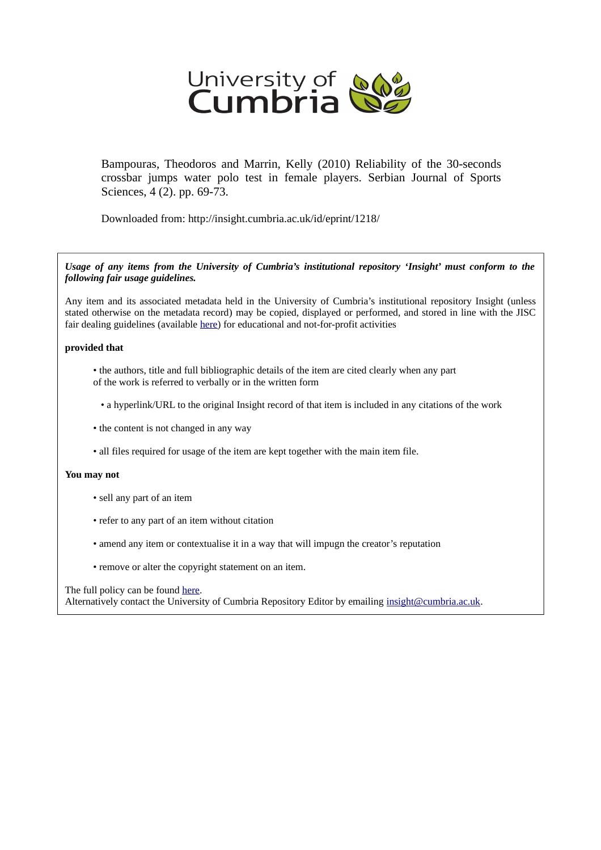

Bampouras, Theodoros and Marrin, Kelly (2010) Reliability of the 30-seconds crossbar jumps water polo test in female players. Serbian Journal of Sports Sciences, 4 (2). pp. 69-73.

Downloaded from: http://insight.cumbria.ac.uk/id/eprint/1218/

*Usage of any items from the University of Cumbria's institutional repository 'Insight' must conform to the following fair usage guidelines.*

Any item and its associated metadata held in the University of Cumbria's institutional repository Insight (unless stated otherwise on the metadata record) may be copied, displayed or performed, and stored in line with the JISC fair dealing guidelines (available [here\)](http://www.ukoln.ac.uk/services/elib/papers/pa/fair/) for educational and not-for-profit activities

#### **provided that**

- the authors, title and full bibliographic details of the item are cited clearly when any part of the work is referred to verbally or in the written form
	- a hyperlink/URL to the original Insight record of that item is included in any citations of the work
- the content is not changed in any way
- all files required for usage of the item are kept together with the main item file.

#### **You may not**

- sell any part of an item
- refer to any part of an item without citation
- amend any item or contextualise it in a way that will impugn the creator's reputation
- remove or alter the copyright statement on an item.

#### The full policy can be found [here.](http://insight.cumbria.ac.uk/legal.html#section5)

Alternatively contact the University of Cumbria Repository Editor by emailing [insight@cumbria.ac.uk.](mailto:insight@cumbria.ac.uk)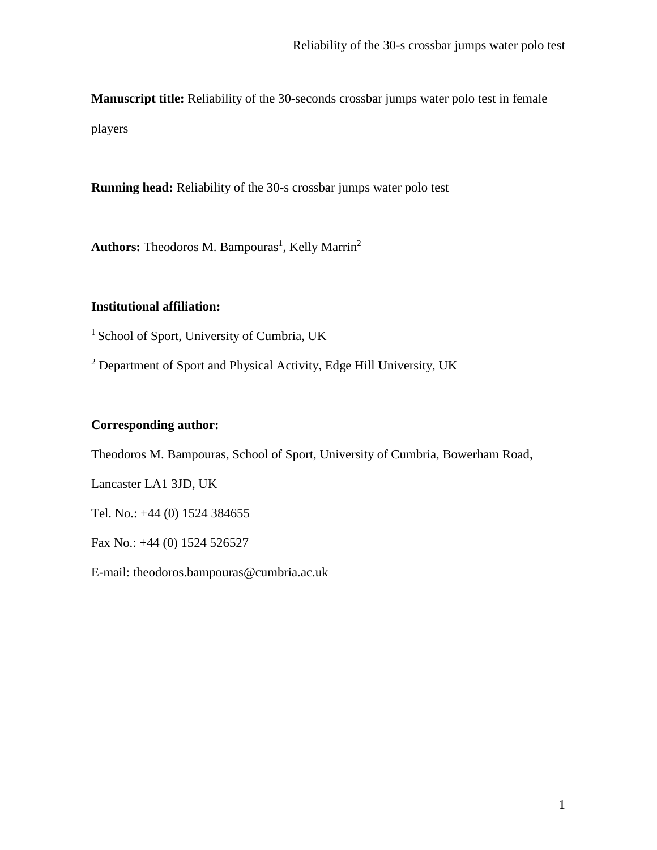**Manuscript title:** Reliability of the 30-seconds crossbar jumps water polo test in female players

**Running head:** Reliability of the 30-s crossbar jumps water polo test

Authors: Theodoros M. Bampouras<sup>1</sup>, Kelly Marrin<sup>2</sup>

## **Institutional affiliation:**

<sup>1</sup> School of Sport, University of Cumbria, UK

<sup>2</sup> Department of Sport and Physical Activity, Edge Hill University, UK

# **Corresponding author:**

Theodoros M. Bampouras, School of Sport, University of Cumbria, Bowerham Road,

Lancaster LA1 3JD, UK

Tel. No.: +44 (0) 1524 384655

Fax No.: +44 (0) 1524 526527

E-mail: theodoros.bampouras@cumbria.ac.uk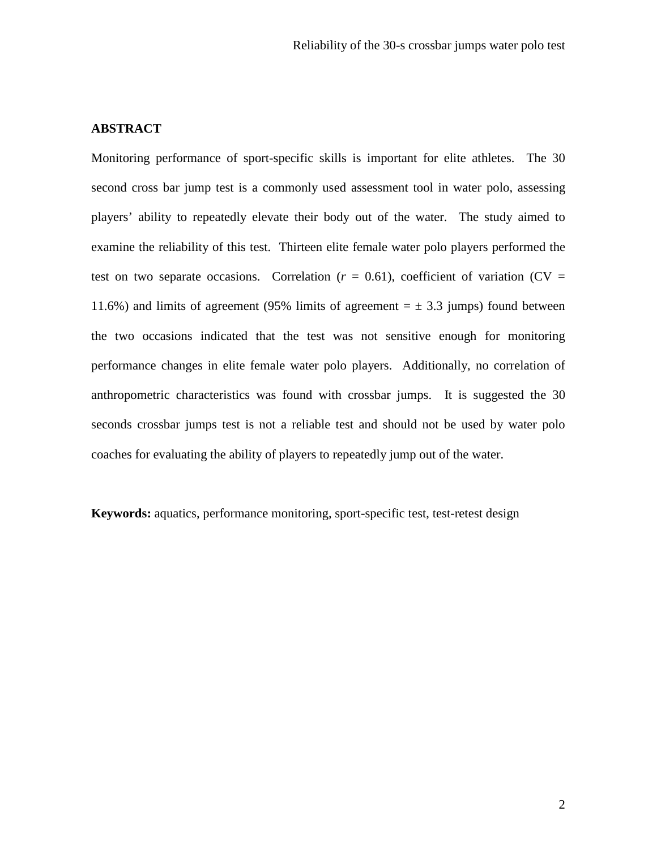## **ABSTRACT**

Monitoring performance of sport-specific skills is important for elite athletes. The 30 second cross bar jump test is a commonly used assessment tool in water polo, assessing players' ability to repeatedly elevate their body out of the water. The study aimed to examine the reliability of this test. Thirteen elite female water polo players performed the test on two separate occasions. Correlation  $(r = 0.61)$ , coefficient of variation (CV = 11.6%) and limits of agreement (95% limits of agreement  $= \pm 3.3$  jumps) found between the two occasions indicated that the test was not sensitive enough for monitoring performance changes in elite female water polo players. Additionally, no correlation of anthropometric characteristics was found with crossbar jumps. It is suggested the 30 seconds crossbar jumps test is not a reliable test and should not be used by water polo coaches for evaluating the ability of players to repeatedly jump out of the water.

**Keywords:** aquatics, performance monitoring, sport-specific test, test-retest design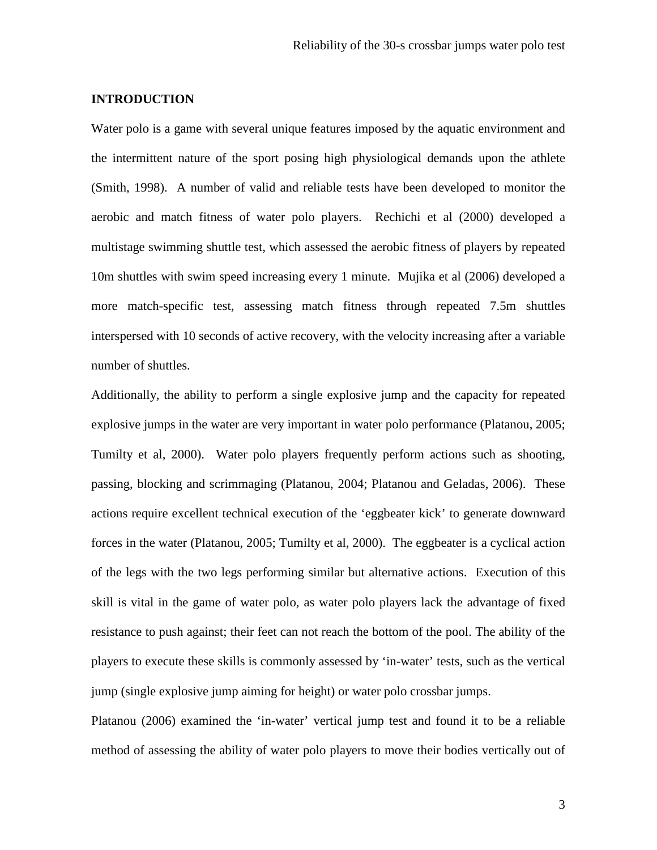## **INTRODUCTION**

Water polo is a game with several unique features imposed by the aquatic environment and the intermittent nature of the sport posing high physiological demands upon the athlete (Smith, 1998). A number of valid and reliable tests have been developed to monitor the aerobic and match fitness of water polo players. Rechichi et al (2000) developed a multistage swimming shuttle test, which assessed the aerobic fitness of players by repeated 10m shuttles with swim speed increasing every 1 minute. Mujika et al (2006) developed a more match-specific test, assessing match fitness through repeated 7.5m shuttles interspersed with 10 seconds of active recovery, with the velocity increasing after a variable number of shuttles.

Additionally, the ability to perform a single explosive jump and the capacity for repeated explosive jumps in the water are very important in water polo performance (Platanou, 2005; Tumilty et al, 2000). Water polo players frequently perform actions such as shooting, passing, blocking and scrimmaging (Platanou, 2004; Platanou and Geladas, 2006). These actions require excellent technical execution of the 'eggbeater kick' to generate downward forces in the water (Platanou, 2005; Tumilty et al, 2000). The eggbeater is a cyclical action of the legs with the two legs performing similar but alternative actions. Execution of this skill is vital in the game of water polo, as water polo players lack the advantage of fixed resistance to push against; their feet can not reach the bottom of the pool. The ability of the players to execute these skills is commonly assessed by 'in-water' tests, such as the vertical jump (single explosive jump aiming for height) or water polo crossbar jumps.

Platanou (2006) examined the 'in-water' vertical jump test and found it to be a reliable method of assessing the ability of water polo players to move their bodies vertically out of

3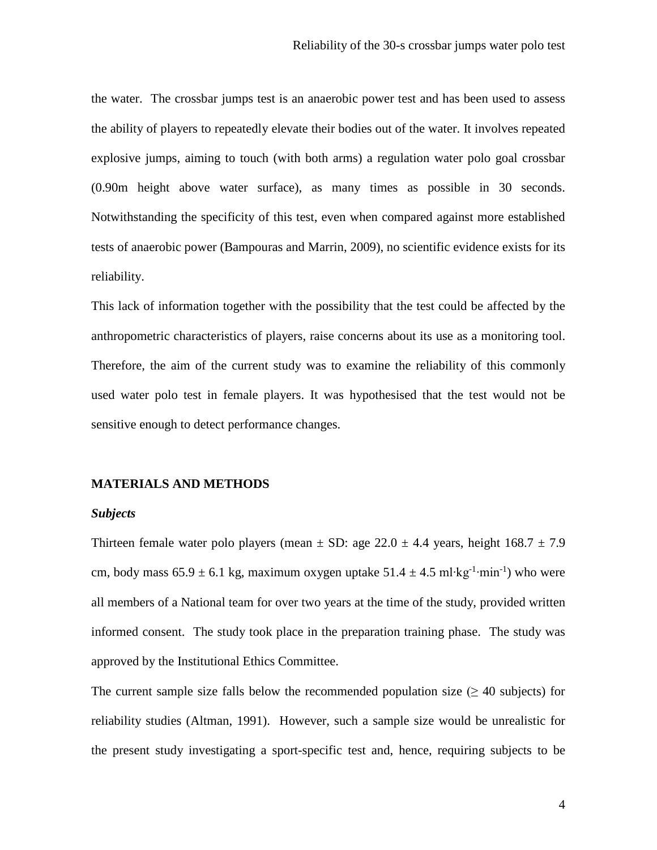the water. The crossbar jumps test is an anaerobic power test and has been used to assess the ability of players to repeatedly elevate their bodies out of the water. It involves repeated explosive jumps, aiming to touch (with both arms) a regulation water polo goal crossbar (0.90m height above water surface), as many times as possible in 30 seconds. Notwithstanding the specificity of this test, even when compared against more established tests of anaerobic power (Bampouras and Marrin, 2009), no scientific evidence exists for its reliability.

This lack of information together with the possibility that the test could be affected by the anthropometric characteristics of players, raise concerns about its use as a monitoring tool. Therefore, the aim of the current study was to examine the reliability of this commonly used water polo test in female players. It was hypothesised that the test would not be sensitive enough to detect performance changes.

## **MATERIALS AND METHODS**

## *Subjects*

Thirteen female water polo players (mean  $\pm$  SD: age 22.0  $\pm$  4.4 years, height 168.7  $\pm$  7.9 cm, body mass  $65.9 \pm 6.1$  kg, maximum oxygen uptake  $51.4 \pm 4.5$  ml⋅kg<sup>-1</sup>⋅min<sup>-1</sup>) who were all members of a National team for over two years at the time of the study, provided written informed consent. The study took place in the preparation training phase. The study was approved by the Institutional Ethics Committee.

The current sample size falls below the recommended population size ( $\geq$  40 subjects) for reliability studies (Altman, 1991). However, such a sample size would be unrealistic for the present study investigating a sport-specific test and, hence, requiring subjects to be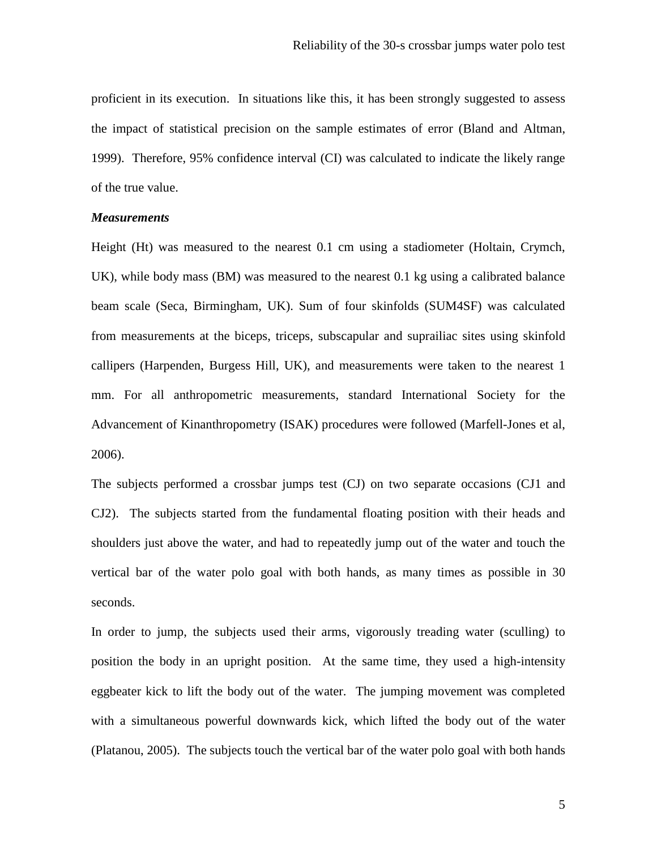proficient in its execution. In situations like this, it has been strongly suggested to assess the impact of statistical precision on the sample estimates of error (Bland and Altman, 1999). Therefore, 95% confidence interval (CI) was calculated to indicate the likely range of the true value.

## *Measurements*

Height (Ht) was measured to the nearest 0.1 cm using a stadiometer (Holtain, Crymch, UK), while body mass (BM) was measured to the nearest 0.1 kg using a calibrated balance beam scale (Seca, Birmingham, UK). Sum of four skinfolds (SUM4SF) was calculated from measurements at the biceps, triceps, subscapular and suprailiac sites using skinfold callipers (Harpenden, Burgess Hill, UK), and measurements were taken to the nearest 1 mm. For all anthropometric measurements, standard International Society for the Advancement of Kinanthropometry (ISAK) procedures were followed (Marfell-Jones et al, 2006).

The subjects performed a crossbar jumps test (CJ) on two separate occasions (CJ1 and CJ2). The subjects started from the fundamental floating position with their heads and shoulders just above the water, and had to repeatedly jump out of the water and touch the vertical bar of the water polo goal with both hands, as many times as possible in 30 seconds.

In order to jump, the subjects used their arms, vigorously treading water (sculling) to position the body in an upright position. At the same time, they used a high-intensity eggbeater kick to lift the body out of the water. The jumping movement was completed with a simultaneous powerful downwards kick, which lifted the body out of the water (Platanou, 2005). The subjects touch the vertical bar of the water polo goal with both hands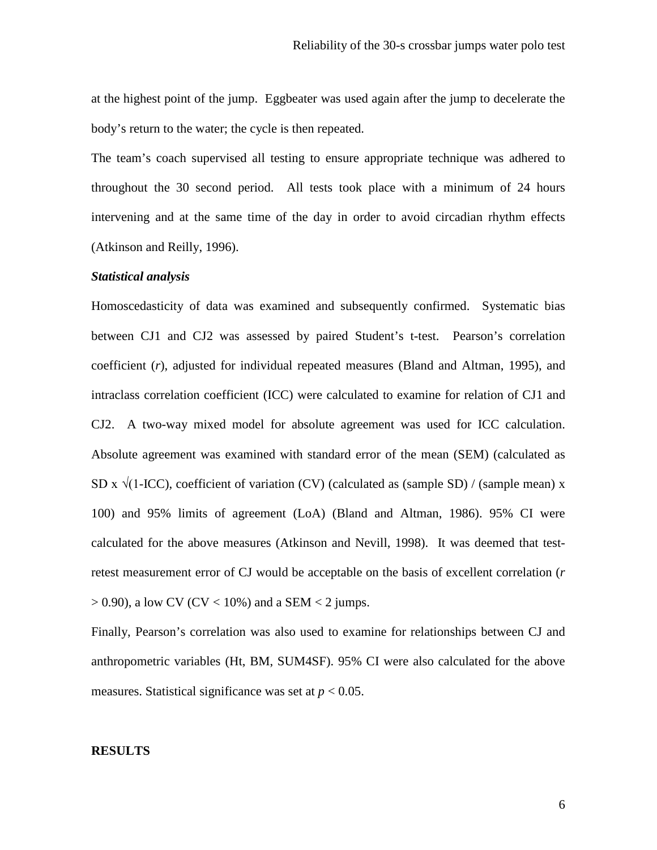at the highest point of the jump. Eggbeater was used again after the jump to decelerate the body's return to the water; the cycle is then repeated.

The team's coach supervised all testing to ensure appropriate technique was adhered to throughout the 30 second period. All tests took place with a minimum of 24 hours intervening and at the same time of the day in order to avoid circadian rhythm effects (Atkinson and Reilly, 1996).

## *Statistical analysis*

Homoscedasticity of data was examined and subsequently confirmed. Systematic bias between CJ1 and CJ2 was assessed by paired Student's t-test. Pearson's correlation coefficient (*r*), adjusted for individual repeated measures (Bland and Altman, 1995), and intraclass correlation coefficient (ICC) were calculated to examine for relation of CJ1 and CJ2. A two-way mixed model for absolute agreement was used for ICC calculation. Absolute agreement was examined with standard error of the mean (SEM) (calculated as SD x  $\sqrt{(1-ICC)}$ , coefficient of variation (CV) (calculated as (sample SD) / (sample mean) x 100) and 95% limits of agreement (LoA) (Bland and Altman, 1986). 95% CI were calculated for the above measures (Atkinson and Nevill, 1998). It was deemed that testretest measurement error of CJ would be acceptable on the basis of excellent correlation (*r*  $> 0.90$ ), a low CV (CV < 10%) and a SEM < 2 jumps.

Finally, Pearson's correlation was also used to examine for relationships between CJ and anthropometric variables (Ht, BM, SUM4SF). 95% CI were also calculated for the above measures. Statistical significance was set at *p* < 0.05.

## **RESULTS**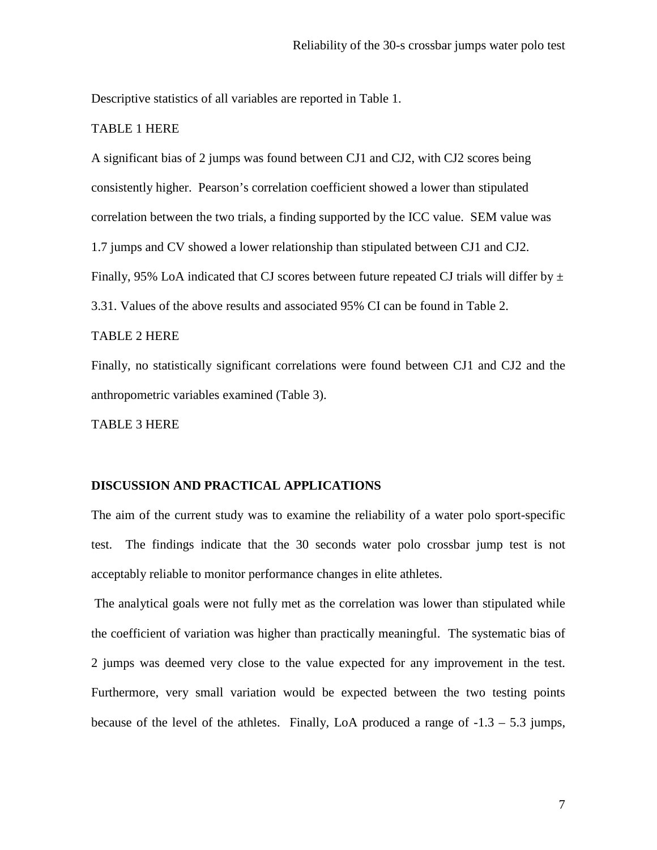Descriptive statistics of all variables are reported in Table 1.

## TABLE 1 HERE

A significant bias of 2 jumps was found between CJ1 and CJ2, with CJ2 scores being consistently higher. Pearson's correlation coefficient showed a lower than stipulated correlation between the two trials, a finding supported by the ICC value. SEM value was 1.7 jumps and CV showed a lower relationship than stipulated between CJ1 and CJ2. Finally, 95% LoA indicated that CJ scores between future repeated CJ trials will differ by  $\pm$ 3.31. Values of the above results and associated 95% CI can be found in Table 2.

## TABLE 2 HERE

Finally, no statistically significant correlations were found between CJ1 and CJ2 and the anthropometric variables examined (Table 3).

TABLE 3 HERE

## **DISCUSSION AND PRACTICAL APPLICATIONS**

The aim of the current study was to examine the reliability of a water polo sport-specific test. The findings indicate that the 30 seconds water polo crossbar jump test is not acceptably reliable to monitor performance changes in elite athletes.

The analytical goals were not fully met as the correlation was lower than stipulated while the coefficient of variation was higher than practically meaningful. The systematic bias of 2 jumps was deemed very close to the value expected for any improvement in the test. Furthermore, very small variation would be expected between the two testing points because of the level of the athletes. Finally, LoA produced a range of  $-1.3 - 5.3$  jumps,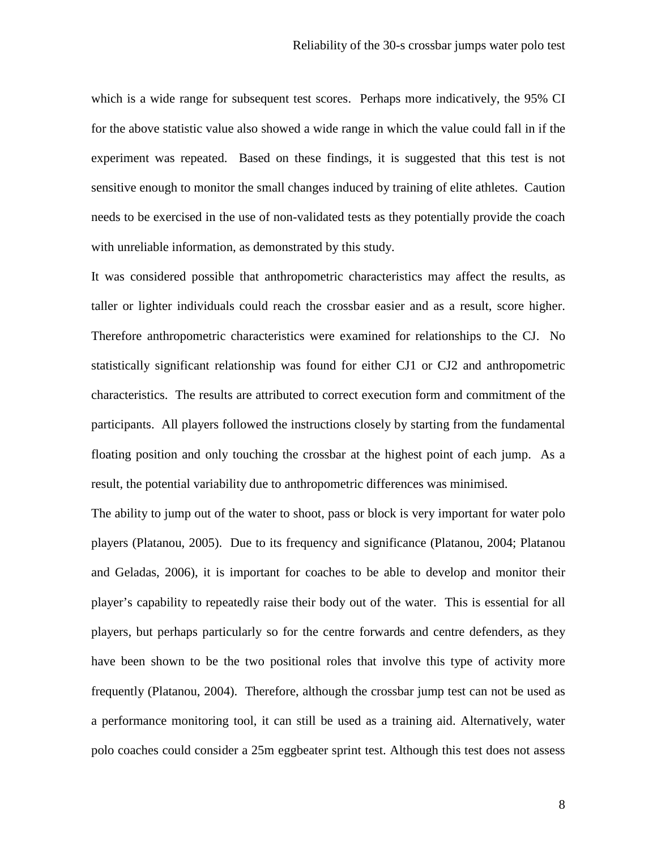which is a wide range for subsequent test scores. Perhaps more indicatively, the 95% CI for the above statistic value also showed a wide range in which the value could fall in if the experiment was repeated. Based on these findings, it is suggested that this test is not sensitive enough to monitor the small changes induced by training of elite athletes. Caution needs to be exercised in the use of non-validated tests as they potentially provide the coach with unreliable information, as demonstrated by this study.

It was considered possible that anthropometric characteristics may affect the results, as taller or lighter individuals could reach the crossbar easier and as a result, score higher. Therefore anthropometric characteristics were examined for relationships to the CJ. No statistically significant relationship was found for either CJ1 or CJ2 and anthropometric characteristics. The results are attributed to correct execution form and commitment of the participants. All players followed the instructions closely by starting from the fundamental floating position and only touching the crossbar at the highest point of each jump. As a result, the potential variability due to anthropometric differences was minimised.

The ability to jump out of the water to shoot, pass or block is very important for water polo players (Platanou, 2005). Due to its frequency and significance (Platanou, 2004; Platanou and Geladas, 2006), it is important for coaches to be able to develop and monitor their player's capability to repeatedly raise their body out of the water. This is essential for all players, but perhaps particularly so for the centre forwards and centre defenders, as they have been shown to be the two positional roles that involve this type of activity more frequently (Platanou, 2004). Therefore, although the crossbar jump test can not be used as a performance monitoring tool, it can still be used as a training aid. Alternatively, water polo coaches could consider a 25m eggbeater sprint test. Although this test does not assess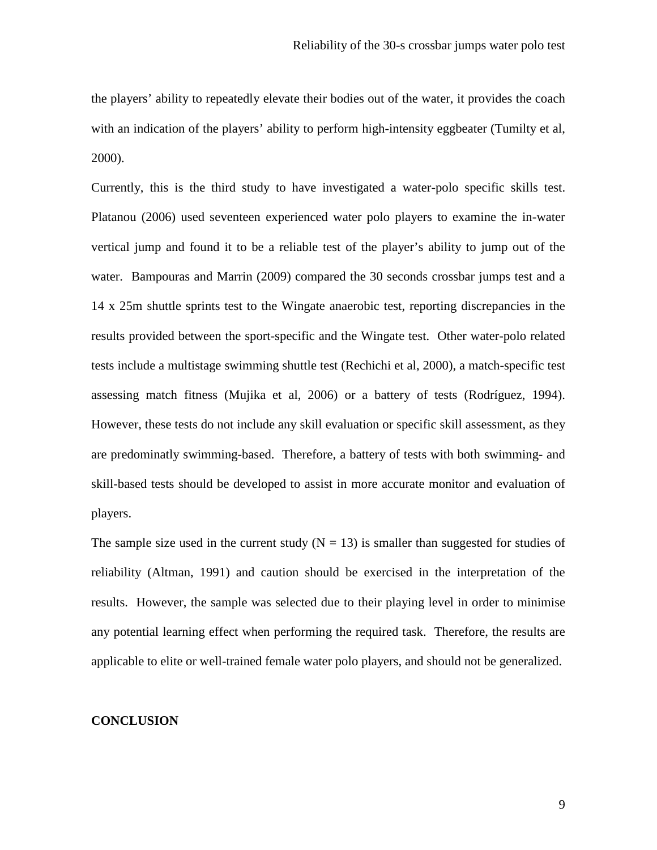the players' ability to repeatedly elevate their bodies out of the water, it provides the coach with an indication of the players' ability to perform high-intensity eggbeater (Tumilty et al, 2000).

Currently, this is the third study to have investigated a water-polo specific skills test. Platanou (2006) used seventeen experienced water polo players to examine the in-water vertical jump and found it to be a reliable test of the player's ability to jump out of the water. Bampouras and Marrin (2009) compared the 30 seconds crossbar jumps test and a 14 x 25m shuttle sprints test to the Wingate anaerobic test, reporting discrepancies in the results provided between the sport-specific and the Wingate test. Other water-polo related tests include a multistage swimming shuttle test (Rechichi et al, 2000), a match-specific test assessing match fitness (Mujika et al, 2006) or a battery of tests (Rodríguez, 1994). However, these tests do not include any skill evaluation or specific skill assessment, as they are predominatly swimming-based. Therefore, a battery of tests with both swimming- and skill-based tests should be developed to assist in more accurate monitor and evaluation of players.

The sample size used in the current study  $(N = 13)$  is smaller than suggested for studies of reliability (Altman, 1991) and caution should be exercised in the interpretation of the results. However, the sample was selected due to their playing level in order to minimise any potential learning effect when performing the required task. Therefore, the results are applicable to elite or well-trained female water polo players, and should not be generalized.

## **CONCLUSION**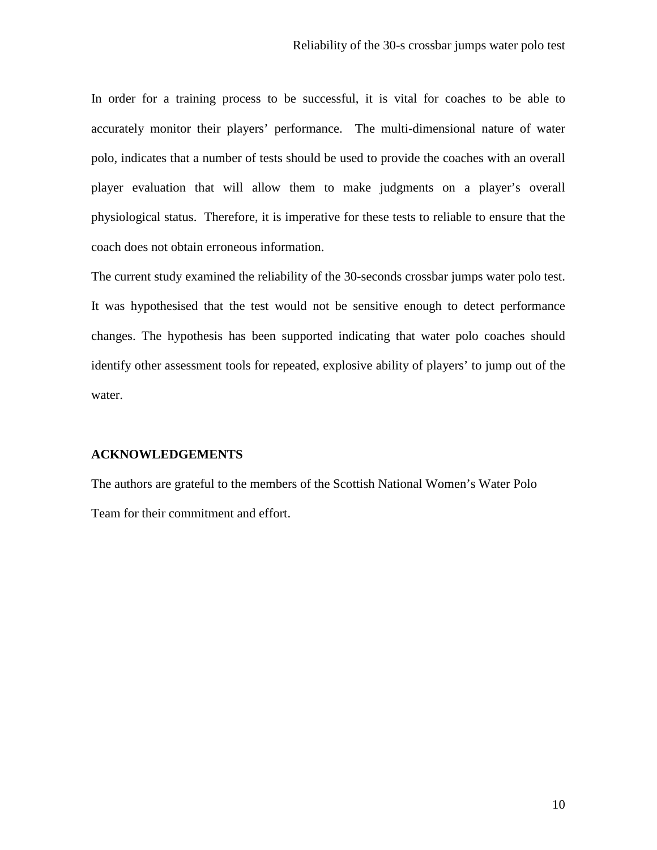In order for a training process to be successful, it is vital for coaches to be able to accurately monitor their players' performance. The multi-dimensional nature of water polo, indicates that a number of tests should be used to provide the coaches with an overall player evaluation that will allow them to make judgments on a player's overall physiological status. Therefore, it is imperative for these tests to reliable to ensure that the coach does not obtain erroneous information.

The current study examined the reliability of the 30-seconds crossbar jumps water polo test. It was hypothesised that the test would not be sensitive enough to detect performance changes. The hypothesis has been supported indicating that water polo coaches should identify other assessment tools for repeated, explosive ability of players' to jump out of the water.

## **ACKNOWLEDGEMENTS**

The authors are grateful to the members of the Scottish National Women's Water Polo Team for their commitment and effort.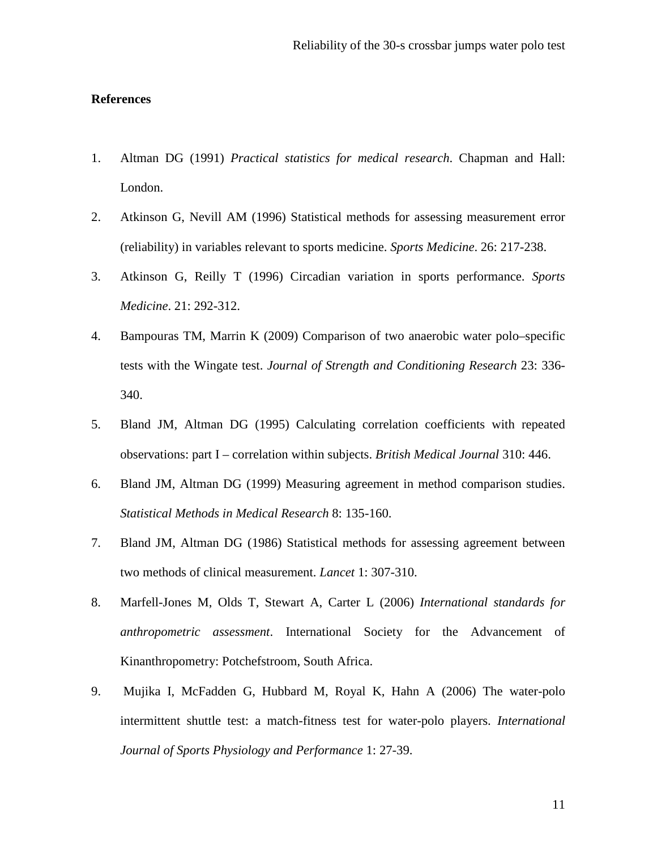## **References**

- 1. Altman DG (1991) *Practical statistics for medical research*. Chapman and Hall: London.
- 2. Atkinson G, Nevill AM (1996) Statistical methods for assessing measurement error (reliability) in variables relevant to sports medicine. *Sports Medicine*. 26: 217-238.
- 3. Atkinson G, Reilly T (1996) Circadian variation in sports performance. *Sports Medicine*. 21: 292-312.
- 4. Bampouras TM, Marrin K (2009) Comparison of two anaerobic water polo–specific tests with the Wingate test. *Journal of Strength and Conditioning Research* 23: 336- 340.
- 5. Bland JM, Altman DG (1995) Calculating correlation coefficients with repeated observations: part I – correlation within subjects. *British Medical Journal* 310: 446.
- 6. Bland JM, Altman DG (1999) Measuring agreement in method comparison studies. *Statistical Methods in Medical Research* 8: 135-160.
- 7. Bland JM, Altman DG (1986) Statistical methods for assessing agreement between two methods of clinical measurement. *Lancet* 1: 307-310.
- 8. Marfell-Jones M, Olds T, Stewart A, Carter L (2006) *International standards for anthropometric assessment*. International Society for the Advancement of Kinanthropometry: Potchefstroom, South Africa.
- 9. Mujika I, McFadden G, Hubbard M, Royal K, Hahn A (2006) The water-polo intermittent shuttle test: a match-fitness test for water-polo players. *International Journal of Sports Physiology and Performance* 1: 27-39.

11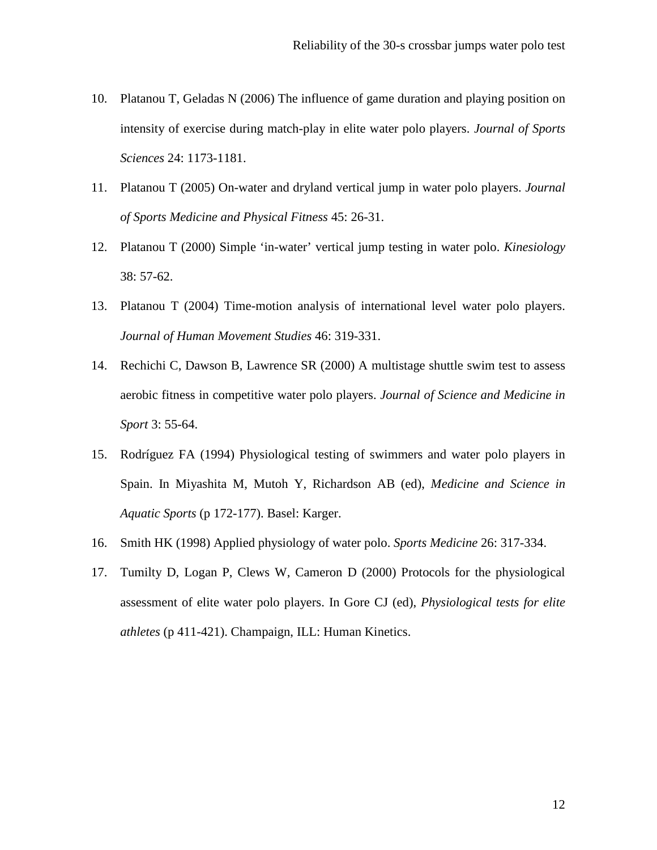- 10. Platanou T, Geladas N (2006) The influence of game duration and playing position on intensity of exercise during match-play in elite water polo players. *Journal of Sports Sciences* 24: 1173-1181.
- 11. Platanou T (2005) On-water and dryland vertical jump in water polo players. *Journal of Sports Medicine and Physical Fitness* 45: 26-31.
- 12. Platanou T (2000) Simple 'in-water' vertical jump testing in water polo. *Kinesiology* 38: 57-62.
- 13. Platanou T (2004) Time-motion analysis of international level water polo players. *Journal of Human Movement Studies* 46: 319-331.
- 14. Rechichi C, Dawson B, Lawrence SR (2000) A multistage shuttle swim test to assess aerobic fitness in competitive water polo players. *Journal of Science and Medicine in Sport* 3: 55-64.
- 15. Rodríguez FA (1994) Physiological testing of swimmers and water polo players in Spain. In Miyashita M, Mutoh Y, Richardson AB (ed), *Medicine and Science in Aquatic Sports* (p 172-177). Basel: Karger.
- 16. Smith HK (1998) Applied physiology of water polo. *Sports Medicine* 26: 317-334.
- 17. Tumilty D, Logan P, Clews W, Cameron D (2000) Protocols for the physiological assessment of elite water polo players. In Gore CJ (ed), *Physiological tests for elite athletes* (p 411-421). Champaign, ILL: Human Kinetics.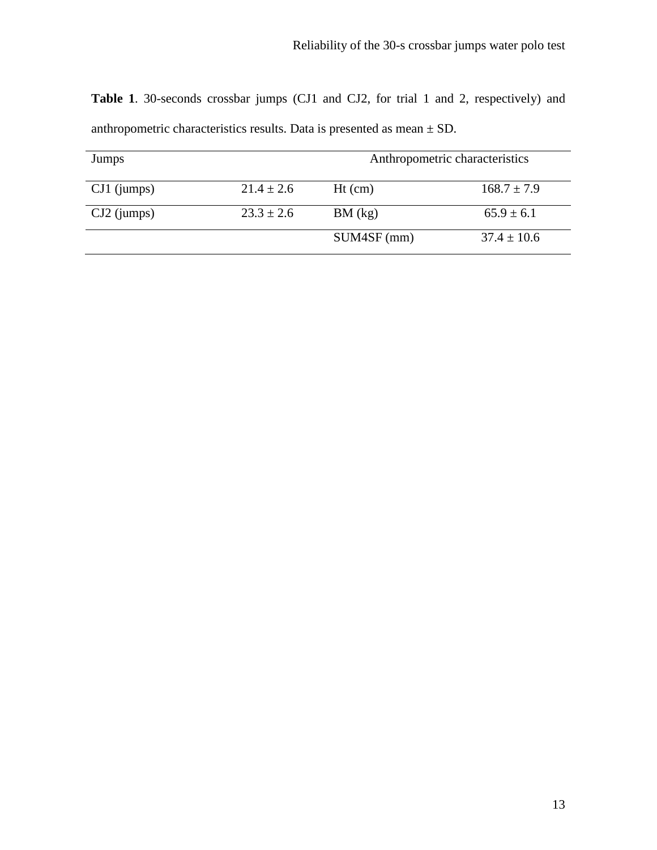**Table 1**. 30-seconds crossbar jumps (CJ1 and CJ2, for trial 1 and 2, respectively) and anthropometric characteristics results. Data is presented as mean  $\pm$  SD.

| Jumps         |                | Anthropometric characteristics |                 |  |
|---------------|----------------|--------------------------------|-----------------|--|
| $CJ1$ (jumps) | $21.4 \pm 2.6$ | $Ht$ (cm)                      | $168.7 \pm 7.9$ |  |
| $CJ2$ (jumps) | $23.3 \pm 2.6$ | BM (kg)                        | $65.9 \pm 6.1$  |  |
|               |                | SUM4SF (mm)                    | $37.4 \pm 10.6$ |  |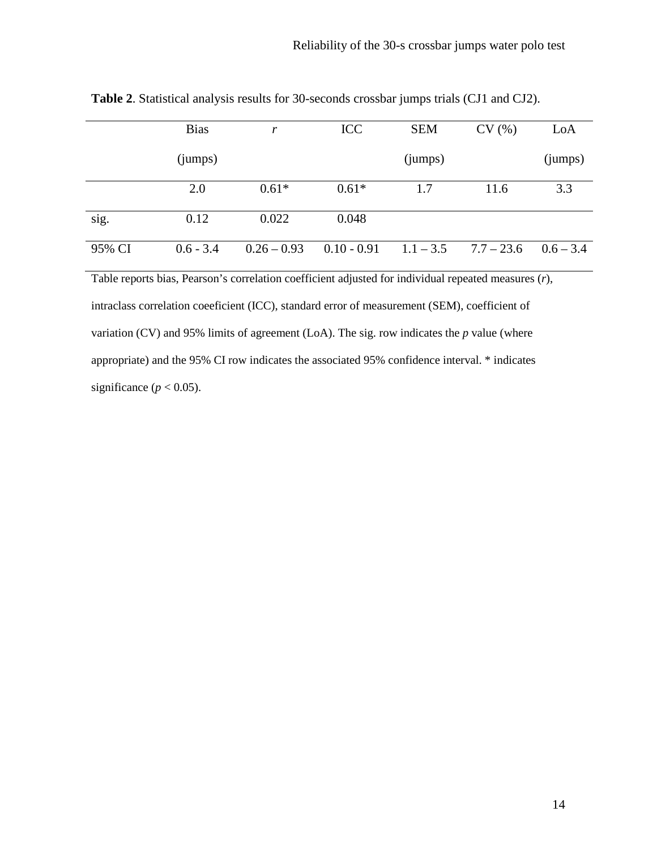|        | <b>Bias</b> | r             | <b>ICC</b>    | <b>SEM</b>  | CV(%)        | LoA         |
|--------|-------------|---------------|---------------|-------------|--------------|-------------|
|        | (iumps)     |               |               | (iumps)     |              | (jumps)     |
|        | 2.0         | $0.61*$       | $0.61*$       | 1.7         | 11.6         | 3.3         |
| sig.   | 0.12        | 0.022         | 0.048         |             |              |             |
| 95% CI | $0.6 - 3.4$ | $0.26 - 0.93$ | $0.10 - 0.91$ | $1.1 - 3.5$ | $7.7 - 23.6$ | $0.6 - 3.4$ |

**Table 2**. Statistical analysis results for 30-seconds crossbar jumps trials (CJ1 and CJ2).

Table reports bias, Pearson's correlation coefficient adjusted for individual repeated measures (*r*), intraclass correlation coeeficient (ICC), standard error of measurement (SEM), coefficient of variation (CV) and 95% limits of agreement (LoA). The sig. row indicates the *p* value (where appropriate) and the 95% CI row indicates the associated 95% confidence interval. \* indicates significance ( $p < 0.05$ ).